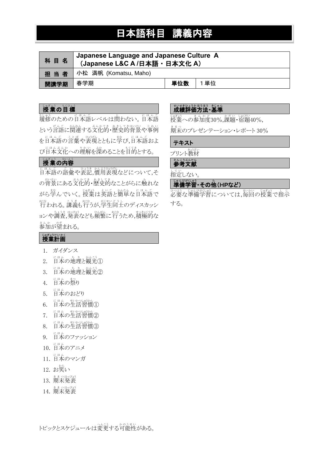# 日本語科目 講義内容

| 科目名  | Japanese Language and Japanese Culture A<br>(Japanese L&C A /日本語 · 日本文化 A) |     |     |
|------|----------------------------------------------------------------------------|-----|-----|
| 担当者  | 小松 満帆 (Komatsu, Maho)                                                      |     |     |
| 開講学期 | 春学期                                                                        | 単位数 | 1単位 |

# しょうの目標

。<br>履修のための日本語レベルは蔄わない。日本語 という言語に関連する文化的・歴史的背景や事例 を日本語の言葉や表現とともに学び,日本語およ び日本文化への理解を深めることを目的とする。

# しきものののです。

日本語 に ほ ん ご の語彙 ご い や表記 ひ ょ う き ,慣用 か ん よ う 表現 ひょうげん などについて,そ の背景にある文化的・歴史的なことがらに触れな がら学んでいく。授業は英語と簡単な日本語で <sub>おな</sub><br>行われる。講義も行うが,学生同士のディスカッシ ョンや調査,発表なども頻繁に行うため,積極的な 。。。。。。。。<br>参加が望まれる。

# 世界の戦闘のです。<br>**成績評価方法・基準**

。<br>授業への参加度30%,課題・宿題40%,

<u>ま。</u><br>期末のプレゼンテーション・レポート 30%

### テキスト

プリント教材 きょうざい

### ≛んこぅ⋇んけん<br>**参考文献**

してい<br>指定しない。

# 準備 じ ゅ ん び 学習 がくしゅう ・その他 た (HPなど)

必要 ひつよう な準備 じゅんび 学習 がくしゅう については,毎回 まいかい の授業 じゅぎょう で指示 し じ する。

# しきおけいかく

- 1. ガイダンス
- 2. 日本の地理と観光①
- 3. 日本の地理と観光②
- 4. 日本の祭り
- 5. 日本 に ほ ん のおどり
- 6. 日本の生活習慣①
- 7. 日本の生活習慣②
- 8. 日本の生活習慣③
- 9. 日本のファッション
- 10. 日本のアニメ
- \_\_\_<br>11. 日本のマンガ
- 12. お笑い
- \* \* っぱぴょう<br>13. 期末発表
- 14. 期末発表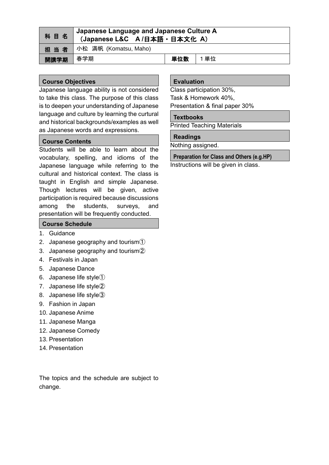| 科目名  | Japanese Language and Japanese Culture A<br>(Japanese L&C A/日本語 · 日本文化 A) |     |     |
|------|---------------------------------------------------------------------------|-----|-----|
| 担当者  | 小松 満帆 (Komatsu, Maho)                                                     |     |     |
| 開講学期 | 春学期                                                                       | 単位数 | 1単位 |

### **Course Objectives**

Japanese language ability is not considered to take this class. The purpose of this class is to deepen your understanding of Japanese language and culture by learning the curtural and historical backgrounds/examples as well as Japanese words and expressions.

### **Course Contents**

Students will be able to learn about the vocabulary, spelling, and idioms of the Japanese language while referring to the cultural and historical context. The class is taught in English and simple Japanese. Though lectures will be given, active participation is required because discussions among the students, surveys, and presentation will be frequently conducted.

### **Course Schedule**

- 1. Guidance
- 2. Japanese geography and tourism①
- 3. Japanese geography and tourism②
- 4. Festivals in Japan
- 5. Japanese Dance
- 6. Japanese life style①
- 7. Japanese life style②
- 8. Japanese life style③
- 9. Fashion in Japan
- 10. Japanese Anime
- 11. Japanese Manga
- 12. Japanese Comedy
- 13. Presentation
- 14. Presentation

The topics and the schedule are subject to change.

#### **Evaluation**

Class participation 30%, Task & Homework 40%,

Presentation & final paper 30%

#### **Textbooks**

Printed Teaching Materials

### **Readings**

Nothing assigned.

### **Preparation for Class and Others (e.g.HP)**

Instructions will be given in class.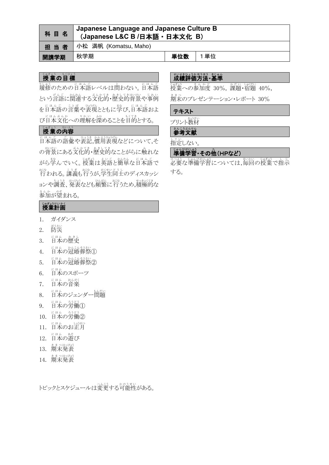| 科目名  | Japanese Language and Japanese Culture B<br>(Japanese L&C B /日本語 · 日本文化 B) |     |      |
|------|----------------------------------------------------------------------------|-----|------|
| 担当者  | 小松 満帆 (Komatsu, Maho)                                                      |     |      |
| 開講学期 | 秋学期                                                                        | 単位数 | 1 単位 |

# じゅぎょう もくひょう

。<br>履修のための日本語レベルは問わない。日本語 という言語に関連する文化的・歴史的背景や事例 を日本語の言葉や表現とともに挙び,日本語およ び日本文化への理解を深めることを目的とする。

# しゃぎょう かいよう

にほんごの話彙や表記,慣用表現などについて,そ ○背景にある文化的・歴史的なことがらに触れな がら学んでいく。授業は英語と簡単な日本語で <sub>おな</sub><br>行われる。講義も行うが,学生同士のディスカッシ ョンや調査、発表なども頻繁に行うため,積極的な 。。。。。。。。<br>参加が望まれる。

# しきおけいかく

- 1. ガイダンス
- 2. 防災
- 3. 日本の歴史
- 4. 日本の冠婚葬祭①
- 5. 日本の冠婚葬祭②
- 6. http://www.html
- 7. 日本の音楽
- 8. 日本のジェンダー<sup>もんだい</sup>
- 9. 日本の労働①
- 10. 日本の労働②
- 11. 日本のお正月
- 12. 日本の遊び
- 13. 期末発表
- 14. 期末発表

トピックとスケジュールは変更する可能性がある。

# 世界の戦闘のものに、<br>成績評価方法・基準

。<br>授業への参加度 30%, 課題・宿題 40%,

<u>ま。</u><br>期末のプレゼンテーション・レポート 30%

### テキスト

プリント教材

# ジンジンの<br>**参考文献**

してい<br>指定しない。

# 準備 じ ゅ ん び 学習 がくしゅう ・その他 た (HPなど)

必要 ひつよう な準備 じゅんび 学習 がくしゅう については,毎回 まいかい の授業 じゅぎょう で指示 し じ する。